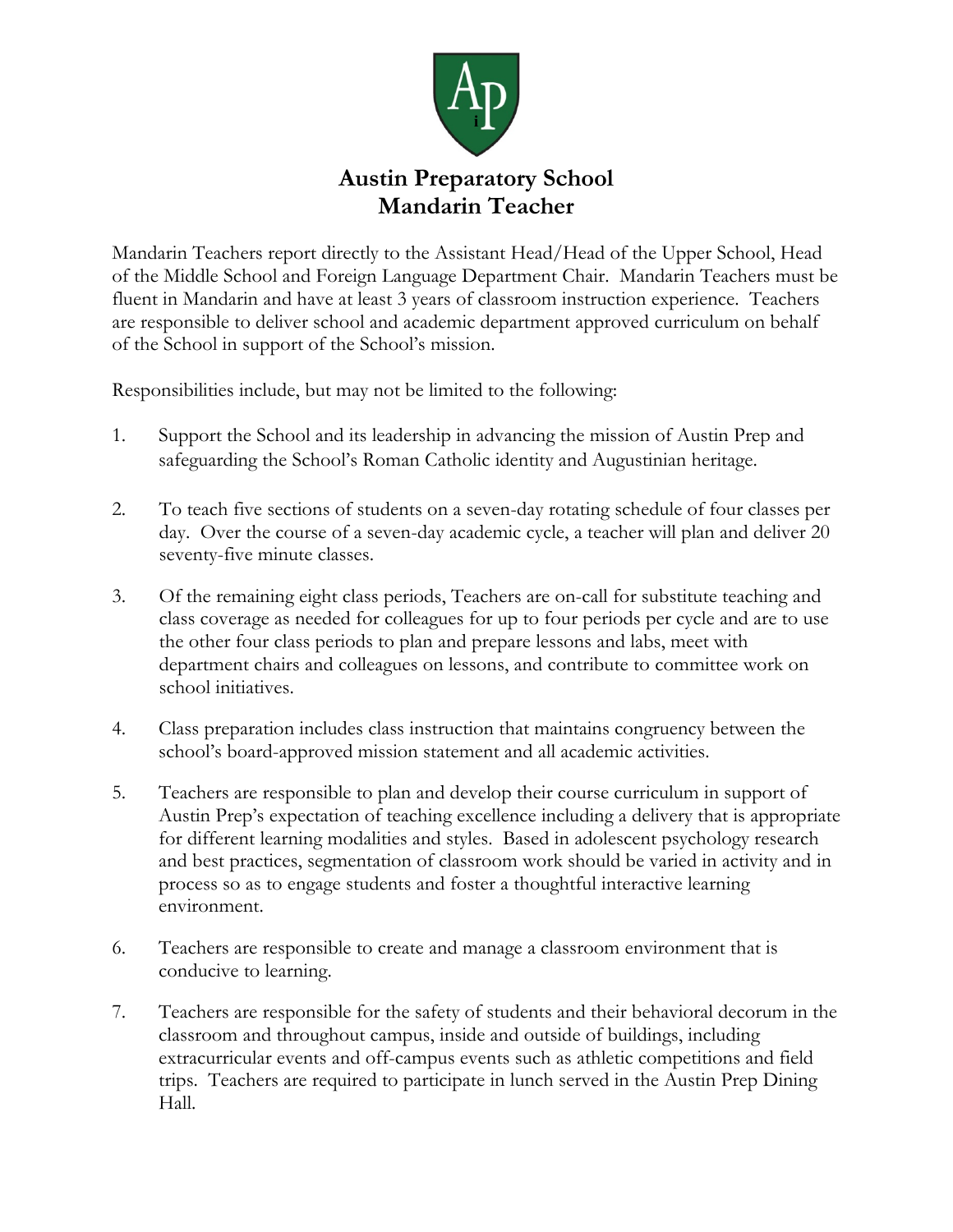

Mandarin Teachers report directly to the Assistant Head/Head of the Upper School, Head of the Middle School and Foreign Language Department Chair. Mandarin Teachers must be fluent in Mandarin and have at least 3 years of classroom instruction experience. Teachers are responsible to deliver school and academic department approved curriculum on behalf of the School in support of the School's mission.

Responsibilities include, but may not be limited to the following:

- 1. Support the School and its leadership in advancing the mission of Austin Prep and safeguarding the School's Roman Catholic identity and Augustinian heritage.
- 2. To teach five sections of students on a seven-day rotating schedule of four classes per day. Over the course of a seven-day academic cycle, a teacher will plan and deliver 20 seventy-five minute classes.
- 3. Of the remaining eight class periods, Teachers are on-call for substitute teaching and class coverage as needed for colleagues for up to four periods per cycle and are to use the other four class periods to plan and prepare lessons and labs, meet with department chairs and colleagues on lessons, and contribute to committee work on school initiatives.
- 4. Class preparation includes class instruction that maintains congruency between the school's board-approved mission statement and all academic activities.
- 5. Teachers are responsible to plan and develop their course curriculum in support of Austin Prep's expectation of teaching excellence including a delivery that is appropriate for different learning modalities and styles. Based in adolescent psychology research and best practices, segmentation of classroom work should be varied in activity and in process so as to engage students and foster a thoughtful interactive learning environment.
- 6. Teachers are responsible to create and manage a classroom environment that is conducive to learning.
- 7. Teachers are responsible for the safety of students and their behavioral decorum in the classroom and throughout campus, inside and outside of buildings, including extracurricular events and off-campus events such as athletic competitions and field trips. Teachers are required to participate in lunch served in the Austin Prep Dining Hall.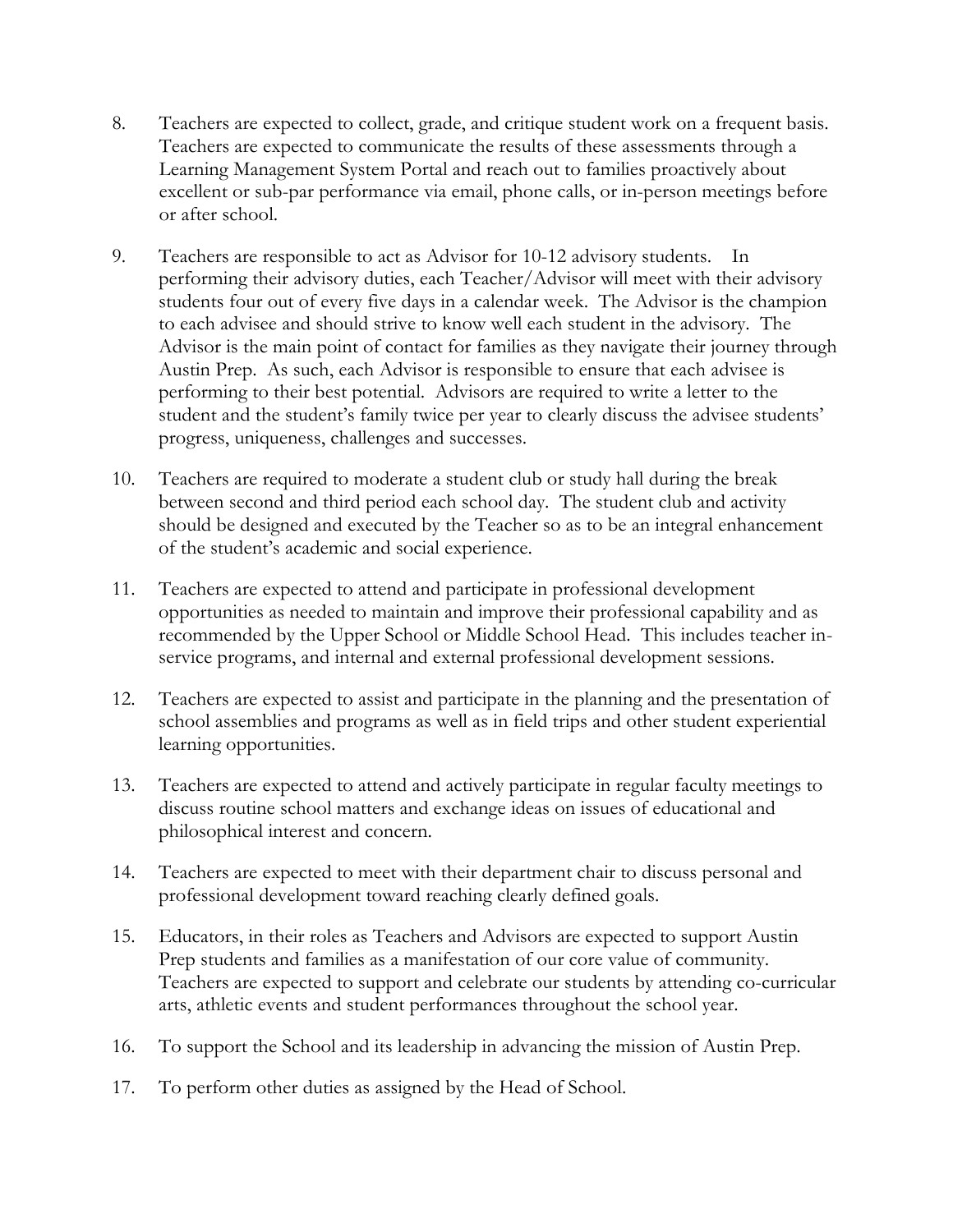- 8. Teachers are expected to collect, grade, and critique student work on a frequent basis. Teachers are expected to communicate the results of these assessments through a Learning Management System Portal and reach out to families proactively about excellent or sub-par performance via email, phone calls, or in-person meetings before or after school.
- 9. Teachers are responsible to act as Advisor for 10-12 advisory students. In performing their advisory duties, each Teacher/Advisor will meet with their advisory students four out of every five days in a calendar week. The Advisor is the champion to each advisee and should strive to know well each student in the advisory. The Advisor is the main point of contact for families as they navigate their journey through Austin Prep. As such, each Advisor is responsible to ensure that each advisee is performing to their best potential. Advisors are required to write a letter to the student and the student's family twice per year to clearly discuss the advisee students' progress, uniqueness, challenges and successes.
- 10. Teachers are required to moderate a student club or study hall during the break between second and third period each school day. The student club and activity should be designed and executed by the Teacher so as to be an integral enhancement of the student's academic and social experience.
- 11. Teachers are expected to attend and participate in professional development opportunities as needed to maintain and improve their professional capability and as recommended by the Upper School or Middle School Head. This includes teacher inservice programs, and internal and external professional development sessions.
- 12. Teachers are expected to assist and participate in the planning and the presentation of school assemblies and programs as well as in field trips and other student experiential learning opportunities.
- 13. Teachers are expected to attend and actively participate in regular faculty meetings to discuss routine school matters and exchange ideas on issues of educational and philosophical interest and concern.
- 14. Teachers are expected to meet with their department chair to discuss personal and professional development toward reaching clearly defined goals.
- 15. Educators, in their roles as Teachers and Advisors are expected to support Austin Prep students and families as a manifestation of our core value of community. Teachers are expected to support and celebrate our students by attending co-curricular arts, athletic events and student performances throughout the school year.
- 16. To support the School and its leadership in advancing the mission of Austin Prep.
- 17. To perform other duties as assigned by the Head of School.